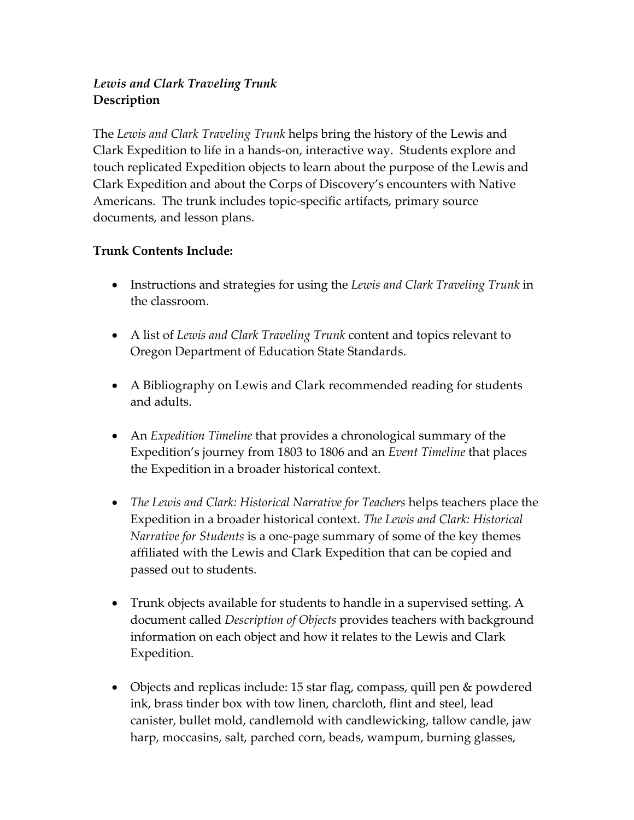## *Lewis and Clark Traveling Trunk* **Description**

The *Lewis and Clark Traveling Trunk* helps bring the history of the Lewis and Clark Expedition to life in a hands‐on, interactive way. Students explore and touch replicated Expedition objects to learn about the purpose of the Lewis and Clark Expedition and about the Corps of Discovery's encounters with Native Americans. The trunk includes topic‐specific artifacts, primary source documents, and lesson plans.

## **Trunk Contents Include:**

- Instructions and strategies for using the *Lewis and Clark Traveling Trunk* in the classroom.
- A list of *Lewis and Clark Traveling Trunk* content and topics relevant to Oregon Department of Education State Standards.
- A Bibliography on Lewis and Clark recommended reading for students and adults.
- An *Expedition Timeline* that provides a chronological summary of the Expedition's journey from 1803 to 1806 and an *Event Timeline* that places the Expedition in a broader historical context.
- *The Lewis and Clark: Historical Narrative for Teachers* helps teachers place the Expedition in a broader historical context. *The Lewis and Clark: Historical Narrative for Students* is a one‐page summary of some of the key themes affiliated with the Lewis and Clark Expedition that can be copied and passed out to students.
- Trunk objects available for students to handle in a supervised setting. A document called *Description of Objects* provides teachers with background information on each object and how it relates to the Lewis and Clark Expedition.
- Objects and replicas include: 15 star flag, compass, quill pen & powdered ink, brass tinder box with tow linen, charcloth, flint and steel, lead canister, bullet mold, candlemold with candlewicking, tallow candle, jaw harp, moccasins, salt, parched corn, beads, wampum, burning glasses,